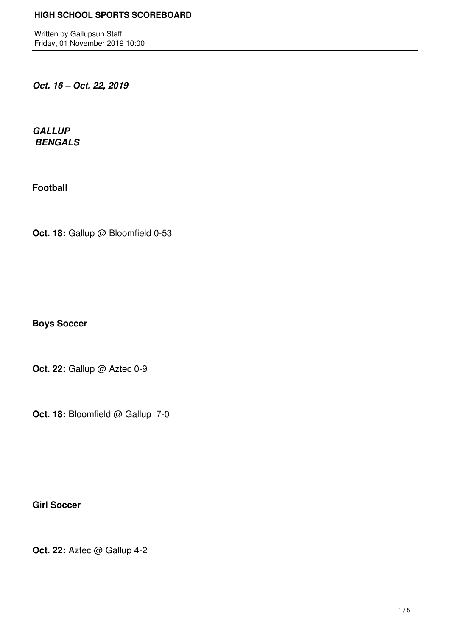Written by Gallupsun Staff Friday, 01 November 2019 10:00

*Oct. 16 – Oct. 22, 2019*

*GALLUP BENGALS* 

**Football**

Oct. 18: Gallup @ Bloomfield 0-53

**Boys Soccer**

**Oct. 22:** Gallup @ Aztec 0-9

**Oct. 18: Bloomfield @ Gallup 7-0** 

**Girl Soccer**

**Oct. 22:** Aztec @ Gallup 4-2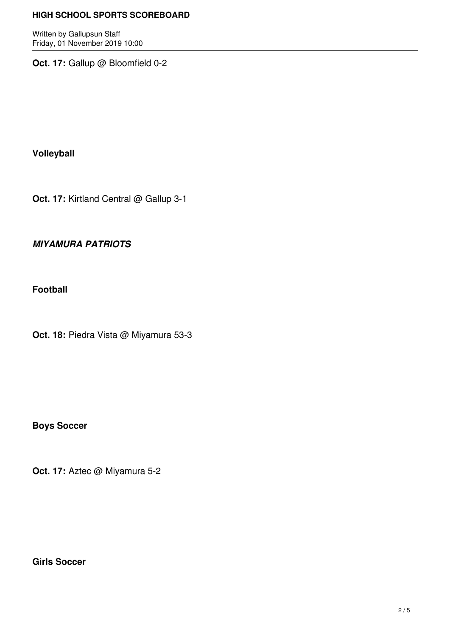Written by Gallupsun Staff Friday, 01 November 2019 10:00

**Oct. 17:** Gallup @ Bloomfield 0-2

**Volleyball**

**Oct. 17:** Kirtland Central @ Gallup 3-1

# *MIYAMURA PATRIOTS*

**Football**

**Oct. 18:** Piedra Vista @ Miyamura 53-3

**Boys Soccer**

**Oct. 17:** Aztec @ Miyamura 5-2

**Girls Soccer**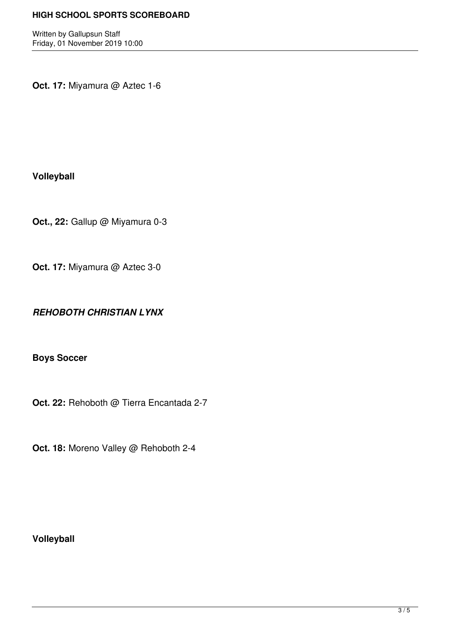Written by Gallupsun Staff Friday, 01 November 2019 10:00

**Oct. 17:** Miyamura @ Aztec 1-6

**Volleyball**

**Oct., 22:** Gallup @ Miyamura 0-3

**Oct. 17:** Miyamura @ Aztec 3-0

*REHOBOTH CHRISTIAN LYNX*

**Boys Soccer**

**Oct. 22:** Rehoboth @ Tierra Encantada 2-7

**Oct. 18:** Moreno Valley @ Rehoboth 2-4

**Volleyball**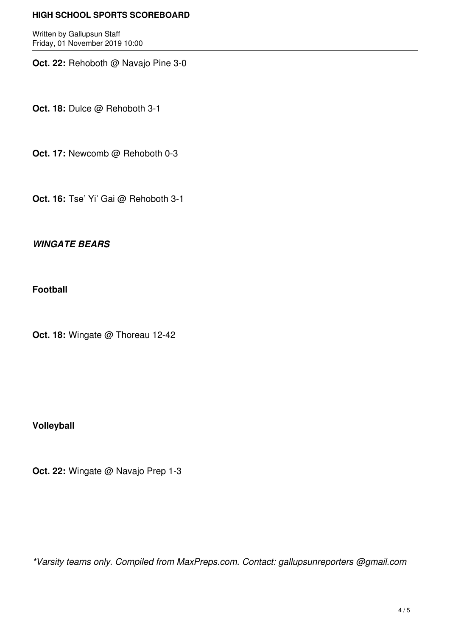Written by Gallupsun Staff Friday, 01 November 2019 10:00

**Oct. 22:** Rehoboth @ Navajo Pine 3-0

**Oct. 18:** Dulce @ Rehoboth 3-1

**Oct. 17:** Newcomb @ Rehoboth 0-3

**Oct. 16:** Tse' Yi' Gai @ Rehoboth 3-1

#### *WINGATE BEARS*

**Football**

**Oct. 18:** Wingate @ Thoreau 12-42

## **Volleyball**

**Oct. 22:** Wingate @ Navajo Prep 1-3

*\*Varsity teams only. Compiled from MaxPreps.com. Contact: gallupsunreporters @gmail.com*